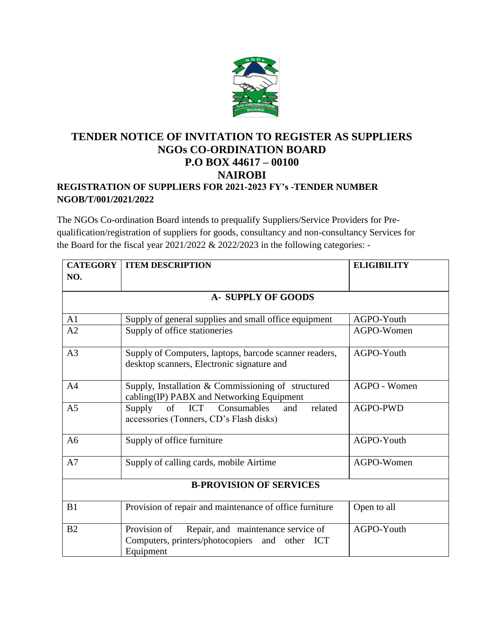

## **TENDER NOTICE OF INVITATION TO REGISTER AS SUPPLIERS NGOs CO-ORDINATION BOARD P.O BOX 44617 – 00100 NAIROBI REGISTRATION OF SUPPLIERS FOR 2021-2023 FY's -TENDER NUMBER NGOB/T/001/2021/2022**

The NGOs Co-ordination Board intends to prequalify Suppliers/Service Providers for Prequalification/registration of suppliers for goods, consultancy and non-consultancy Services for the Board for the fiscal year 2021/2022 & 2022/2023 in the following categories: -

|                | <b>CATEGORY   ITEM DESCRIPTION</b>                                                                                | <b>ELIGIBILITY</b> |
|----------------|-------------------------------------------------------------------------------------------------------------------|--------------------|
| NO.            |                                                                                                                   |                    |
|                | <b>A- SUPPLY OF GOODS</b>                                                                                         |                    |
|                |                                                                                                                   |                    |
| A1             | Supply of general supplies and small office equipment                                                             | AGPO-Youth         |
| A2             | Supply of office stationeries                                                                                     | AGPO-Women         |
| A3             | Supply of Computers, laptops, barcode scanner readers,<br>desktop scanners, Electronic signature and              | AGPO-Youth         |
| A <sub>4</sub> | Supply, Installation & Commissioning of structured<br>cabling(IP) PABX and Networking Equipment                   | AGPO - Women       |
| A <sub>5</sub> | Supply of ICT<br>Consumables<br>and<br>related<br>accessories (Tonners, CD's Flash disks)                         | AGPO-PWD           |
| A <sub>6</sub> | Supply of office furniture                                                                                        | AGPO-Youth         |
| A7             | Supply of calling cards, mobile Airtime                                                                           | AGPO-Women         |
|                | <b>B-PROVISION OF SERVICES</b>                                                                                    |                    |
| B1             | Provision of repair and maintenance of office furniture                                                           | Open to all        |
| B2             | Repair, and maintenance service of<br>Provision of<br>Computers, printers/photocopiers and other ICT<br>Equipment | AGPO-Youth         |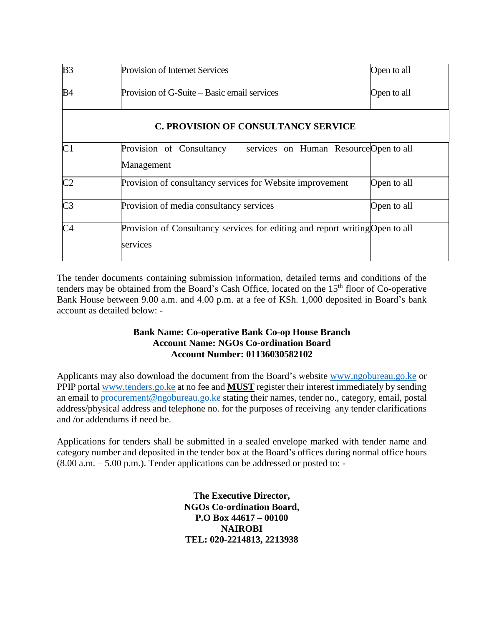| B <sub>3</sub>                             | Provision of Internet Services                                                           | Open to all |  |
|--------------------------------------------|------------------------------------------------------------------------------------------|-------------|--|
| <b>B4</b>                                  | Provision of G-Suite – Basic email services                                              | Open to all |  |
| <b>C. PROVISION OF CONSULTANCY SERVICE</b> |                                                                                          |             |  |
| C1                                         | Provision of Consultancy services on Human Resource Open to all<br>Management            |             |  |
| C <sub>2</sub>                             | Provision of consultancy services for Website improvement                                | Open to all |  |
| C <sub>3</sub>                             | Provision of media consultancy services                                                  | Open to all |  |
| C <sub>4</sub>                             | Provision of Consultancy services for editing and report writing Open to all<br>services |             |  |

The tender documents containing submission information, detailed terms and conditions of the tenders may be obtained from the Board's Cash Office, located on the 15<sup>th</sup> floor of Co-operative Bank House between 9.00 a.m. and 4.00 p.m. at a fee of KSh. 1,000 deposited in Board's bank account as detailed below: -

## **Bank Name: Co-operative Bank Co-op House Branch Account Name: NGOs Co-ordination Board Account Number: 01136030582102**

Applicants may also download the document from the Board's website [www.ngobureau.go.ke](http://www.ngobureau.go.ke/) or PPIP portal [www.tenders.go.ke](http://www.tenders.go.ke/) at no fee and **MUST** register their interest immediately by sending an email to [procurement@ngobureau.go.ke](mailto:procurement@ngobureau.go.ke) stating their names, tender no., category, email, postal address/physical address and telephone no. for the purposes of receiving any tender clarifications and /or addendums if need be.

Applications for tenders shall be submitted in a sealed envelope marked with tender name and category number and deposited in the tender box at the Board's offices during normal office hours  $(8.00 a.m. - 5.00 p.m.).$  Tender applications can be addressed or posted to: -

> **The Executive Director, NGOs Co-ordination Board, P.O Box 44617 – 00100 NAIROBI TEL: 020-2214813, 2213938**